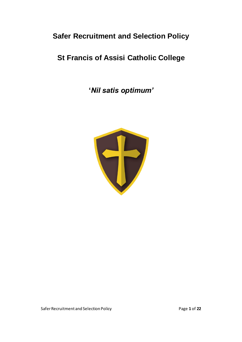# **Safer Recruitment and Selection Policy**

# **St Francis of Assisi Catholic College**

**'***Nil satis optimum'*

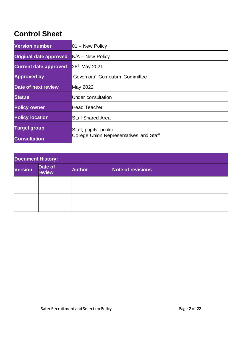# **Control Sheet**

| <b>Version number</b>         | $01 -$ New Policy                       |
|-------------------------------|-----------------------------------------|
| <b>Original date approved</b> | $N/A - New Policy$                      |
| <b>Current date approved</b>  | 28 <sup>th</sup> May 2021               |
| <b>Approved by</b>            | Governors' Curriculum Committee         |
| <b>Date of next review</b>    | May 2022                                |
| <b>Status</b>                 | Under consultation                      |
| <b>Policy owner</b>           | Head Teacher                            |
| <b>Policy location</b>        | Staff Shared Area                       |
| <b>Target group</b>           | Staff, pupils, public                   |
| <b>Consultation</b>           | College Union Representatives and Staff |

| <b>Document History:</b> |                                                                |  |  |  |  |  |  |  |  |  |  |
|--------------------------|----------------------------------------------------------------|--|--|--|--|--|--|--|--|--|--|
| <b>Version</b>           | Date of<br><b>Author</b><br><b>Note of revisions</b><br>review |  |  |  |  |  |  |  |  |  |  |
|                          |                                                                |  |  |  |  |  |  |  |  |  |  |
|                          |                                                                |  |  |  |  |  |  |  |  |  |  |
|                          |                                                                |  |  |  |  |  |  |  |  |  |  |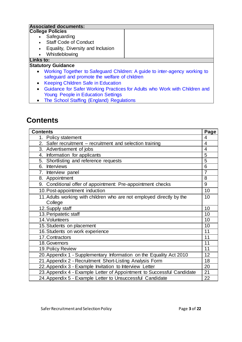| <b>Associated documents:</b>                                                                                                |                                                                            |  |  |  |  |  |  |  |  |  |
|-----------------------------------------------------------------------------------------------------------------------------|----------------------------------------------------------------------------|--|--|--|--|--|--|--|--|--|
| <b>College Policies</b>                                                                                                     |                                                                            |  |  |  |  |  |  |  |  |  |
| Safeguarding                                                                                                                |                                                                            |  |  |  |  |  |  |  |  |  |
| <b>Staff Code of Conduct</b>                                                                                                |                                                                            |  |  |  |  |  |  |  |  |  |
| Equality, Diversity and Inclusion                                                                                           |                                                                            |  |  |  |  |  |  |  |  |  |
| Whistleblowing                                                                                                              |                                                                            |  |  |  |  |  |  |  |  |  |
| Links to:                                                                                                                   |                                                                            |  |  |  |  |  |  |  |  |  |
| <b>Statutory Guidance</b>                                                                                                   |                                                                            |  |  |  |  |  |  |  |  |  |
| Working Together to Safeguard Children: A guide to inter-agency working to<br>safeguard and promote the welfare of children |                                                                            |  |  |  |  |  |  |  |  |  |
| <b>Keeping Children Safe in Education</b><br>$\bullet$                                                                      |                                                                            |  |  |  |  |  |  |  |  |  |
| $\bullet$                                                                                                                   | Guidance for Safer Working Practices for Adults who Work with Children and |  |  |  |  |  |  |  |  |  |
| <b>Young People in Education Settings</b>                                                                                   |                                                                            |  |  |  |  |  |  |  |  |  |

• [The School Staffing \(England\) Regulations](https://assets.publishing.service.gov.uk/government/uploads/system/uploads/attachment_data/file/953345/Staffing_and_employment_advice_for_schools_-_January_2021.pdf)

# **Contents**

| <b>Contents</b>                                                        | Page |  |  |  |  |  |  |  |
|------------------------------------------------------------------------|------|--|--|--|--|--|--|--|
| 1.<br>Policy statement                                                 | 4    |  |  |  |  |  |  |  |
| 2. Safer recruitment – recruitment and selection training              |      |  |  |  |  |  |  |  |
| 3. Advertisement of jobs                                               |      |  |  |  |  |  |  |  |
| 4. Information for applicants                                          |      |  |  |  |  |  |  |  |
| 5. Shortlisting and reference requests                                 |      |  |  |  |  |  |  |  |
| <b>Interviews</b><br>6.                                                | 6    |  |  |  |  |  |  |  |
| 7. Interview panel                                                     | 7    |  |  |  |  |  |  |  |
| 8. Appointment                                                         | 8    |  |  |  |  |  |  |  |
| 9. Conditional offer of appointment: Pre-appointment checks            | 9    |  |  |  |  |  |  |  |
| 10. Post-appointment induction                                         | 10   |  |  |  |  |  |  |  |
| 11. Adults working with children who are not employed directly by the  | 10   |  |  |  |  |  |  |  |
| College                                                                |      |  |  |  |  |  |  |  |
| 12. Supply staff                                                       | 10   |  |  |  |  |  |  |  |
| 13. Peripatetic staff                                                  | 10   |  |  |  |  |  |  |  |
| 14. Volunteers                                                         | 10   |  |  |  |  |  |  |  |
| 15. Students on placement                                              | 10   |  |  |  |  |  |  |  |
| 16. Students on work experience                                        | 11   |  |  |  |  |  |  |  |
| 17. Contractors                                                        | 11   |  |  |  |  |  |  |  |
| 18. Governors                                                          | 11   |  |  |  |  |  |  |  |
| 19. Policy Review                                                      | 11   |  |  |  |  |  |  |  |
| 20. Appendix 1 - Supplementary Information on the Equality Act 2010    | 12   |  |  |  |  |  |  |  |
| 21. Appendix 2 - Recruitment Short-Listing Analysis Form               | 18   |  |  |  |  |  |  |  |
| 22. Appendix 3 - Example Invitation to Interview Letter                | 20   |  |  |  |  |  |  |  |
| 23. Appendix 4 - Example Letter of Appointment to Successful Candidate | 21   |  |  |  |  |  |  |  |
| 24. Appendix 5 - Example Letter to Unsuccessful Candidate              | 22   |  |  |  |  |  |  |  |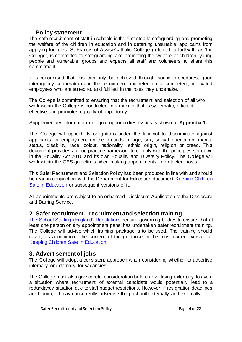## **1. Policy statement**

The safe recruitment of staff in schools is the first step to safeguarding and promoting the welfare of the children in education and in deterring unsuitable applicants from applying for roles. St Francis of Assisi Catholic College (referred to forthwith as 'the College') is committed to safeguarding and promoting the welfare of children, young people and vulnerable groups and expects all staff and volunteers to share this commitment.

It is recognised that this can only be achieved through sound procedures, good interagency cooperation and the recruitment and retention of competent, motivated employees who are suited to, and fulfilled in the roles they undertake.

The College is committed to ensuring that the recruitment and selection of all who work within the College is conducted in a manner that is systematic, efficient, effective and promotes equality of opportunity.

Supplementary information on equal opportunities issues is shown at **Appendix 1.** 

The College will uphold its obligations under the law not to discriminate against applicants for employment on the grounds of age, sex, sexual orientation, marital status, disability, race, colour, nationality, ethnic origin, religion or creed. This document provides a good practice framework to comply with the principles set down in the Equality Act 2010 and its own Equality and Diversity Policy. The College will work within the CES guidelines when making appointments to protected posts.

This Safer Recruitment and Selection Policy has been produced in line with and should be read in conjunction with the Department for Education document Keeping Children [Safe in Education](https://www.gov.uk/government/publications/keeping-children-safe-in-education--2) or subsequent versions of it.

All appointments are subject to an enhanced Disclosure Application to the Disclosure and Barring Service.

## **2. Safer recruitment – recruitment and selection training**

[The School Staffing \(England\) Regulations](https://assets.publishing.service.gov.uk/government/uploads/system/uploads/attachment_data/file/953345/Staffing_and_employment_advice_for_schools_-_January_2021.pdf) require governing bodies to ensure that at least one person on any appointment panel has undertaken safer recruitment training. The College will advise which training package is to be used. The training should cover, as a minimum, the content of the guidance in the most current version of [Keeping Children Safe in Education.](https://www.gov.uk/government/publications/keeping-children-safe-in-education--2)

## **3. Advertisement of jobs**

The College will adopt a consistent approach when considering whether to advertise internally or externally for vacancies.

The College must also give careful consideration before advertising externally to avoid a situation where recruitment of external candidate would potentially lead to a redundancy situation due to staff budget restrictions. However, if resignation deadlines are looming, it may concurrently advertise the post both internally and externally.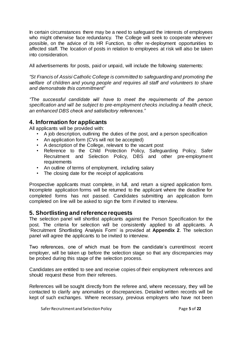In certain circumstances there may be a need to safeguard the interests of employees who might otherwise face redundancy. The College will seek to cooperate wherever possible, on the advice of its HR Function, to offer re-deployment opportunities to affected staff. The location of posts in relation to employees at risk will also be taken into consideration.

All advertisements for posts, paid or unpaid, will include the following statements:

*"St Francis of Assisi Catholic College is committed to safeguarding and promoting the welfare of children and young people and requires all staff and volunteers to share and demonstrate this commitment"*

*"The successful candidate will have to meet the requirements of the person specification and will be subject to pre-employment checks including a health check, an enhanced DBS check and satisfactory references."*

## **4. Information for applicants**

All applicants will be provided with:

- A job description, outlining the duties of the post, and a person specification
- An application form (CVs will not be accepted)
- A description of the College, relevant to the vacant post
- Reference to the Child Protection Policy, Safeguarding Policy, Safer Recruitment and Selection Policy, DBS and other pre-employment **requirements**
- An outline of terms of employment, including salary
- The closing date for the receipt of applications

Prospective applicants must complete, in full, and return a signed application form. Incomplete application forms will be returned to the applicant where the deadline for completed forms has not passed. Candidates submitting an application form completed on line will be asked to sign the form if invited to interview.

#### **5. Shortlisting and reference requests**

The selection panel will shortlist applicants against the Person Specification for the post. The criteria for selection will be consistently applied to all applicants. A 'Recruitment Shortlisting Analysis Form' is provided at **Appendix 2**. The selection panel will agree the applicants to be invited to interview.

Two references, one of which must be from the candidate's current/most recent employer, will be taken up before the selection stage so that any discrepancies may be probed during this stage of the selection process.

Candidates are entitled to see and receive copies of their employment references and should request these from their referees.

References will be sought directly from the referee and, where necessary, they will be contacted to clarify any anomalies or discrepancies. Detailed written records will be kept of such exchanges. Where necessary, previous employers who have not been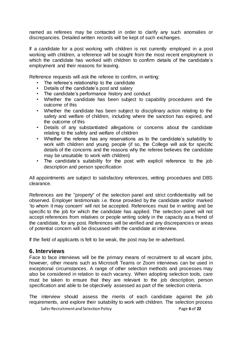named as referees may be contacted in order to clarify any such anomalies or discrepancies. Detailed written records will be kept of such exchanges.

If a candidate for a post working with children is not currently employed in a post working with children, a reference will be sought from the most recent employment in which the candidate has worked with children to confirm details of the candidate's employment and their reasons for leaving.

Reference requests will ask the referee to confirm, in writing:

- The referee's relationship to the candidate
- Details of the candidate's post and salary
- The candidate's performance history and conduct
- Whether the candidate has been subject to capability procedures and the outcome of this
- Whether the candidate has been subject to disciplinary action relating to the safety and welfare of children, including where the sanction has expired, and the outcome of this
- Details of any substantiated allegations or concerns about the candidate relating to the safety and welfare of children
- Whether the referee has any reservations as to the candidate's suitability to work with children and young people (if so, the College will ask for specific details of the concerns and the reasons why the referee believes the candidate may be unsuitable to work with children)
- The candidate's suitability for the post with explicit reference to the job description and person specification

All appointments are subject to satisfactory references, vetting procedures and DBS clearance.

References are the "property" of the selection panel and strict confidentiality will be observed. Employer testimonials i.e. those provided by the candidate and/or marked 'to whom it may concern' will not be accepted. References must be in writing and be specific to the job for which the candidate has applied. The selection panel will not accept references from relatives or people writing solely in the capacity as a friend of the candidate, for any post. References will be verified and any discrepancies or areas of potential concern will be discussed with the candidate at interview.

If the field of applicants is felt to be weak, the post may be re-advertised.

#### **6. Interviews**

Face to face interviews will be the primary means of recruitment to all vacant jobs, however, other means such as Microsoft Teams or Zoom interviews can be used in exceptional circumstances. A range of other selection methods and processes may also be considered in relation to each vacancy. When adopting selection tools, care must be taken to ensure that they are relevant to the job description, person specification and able to be objectively assessed as part of the selection criteria.

The interview should assess the merits of each candidate against the job requirements, and explore their suitability to work with children. The selection process

Safer Recruitment and Selection Policy Page **6** of **22**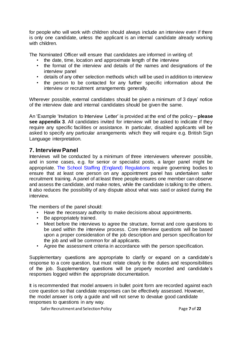for people who will work with children should always include an interview even if there is only one candidate, unless the applicant is an internal candidate already working with children.

The Nominated Officer will ensure that candidates are informed in writing of:

- the date, time, location and approximate length of the interview
- the format of the interview and details of the names and designations of the interview panel
- details of any other selection methods which will be used in addition to interview
- the person to be contacted for any further specific information about the interview or recruitment arrangements generally.

Wherever possible, external candidates should be given a minimum of 3 days' notice of the interview date and internal candidates should be given the same.

An 'Example 'Invitation to Interview Letter' is provided at the end of the policy – **please**  see appendix 3. All candidates invited for interview will be asked to indicate if they require any specific facilities or assistance. In particular, disabled applicants will be asked to specify any particular arrangements which they will require e.g. British Sign Language interpretation.

## **7. Interview Panel**

Interviews will be conducted by a minimum of three interviewers wherever possible, and in some cases, e.g. for senior or specialist posts, a larger panel might be appropriate. [The School Staffing \(England\) Regulations](https://assets.publishing.service.gov.uk/government/uploads/system/uploads/attachment_data/file/953345/Staffing_and_employment_advice_for_schools_-_January_2021.pdf) require governing bodies to ensure that at least one person on any appointment panel has undertaken safer recruitment training. A panel of at least three people ensures one member can observe and assess the candidate, and make notes, while the candidate is talking to the others. It also reduces the possibility of any dispute about what was said or asked during the interview.

The members of the panel should:

- Have the necessary authority to make decisions about appointments.
- Be appropriately trained.
- Meet before the interviews to agree the structure, format and core questions to be used within the interview process. Core interview questions will be based upon a proper consideration of the job description and person specification for the job and will be common for all applicants.
- Agree the assessment criteria in accordance with the person specification.

Supplementary questions are appropriate to clarify or expand on a candidate's response to a core question, but must relate clearly to the duties and responsibilities of the job. Supplementary questions will be properly recorded and candidate's responses logged within the appropriate documentation.

It is recommended that model answers in bullet point form are recorded against each core question so that candidate responses can be effectively assessed. However, the model answer is only a guide and will not serve to devalue good candidate responses to questions in any way.

Safer Recruitment and Selection Policy Page **7** of **22**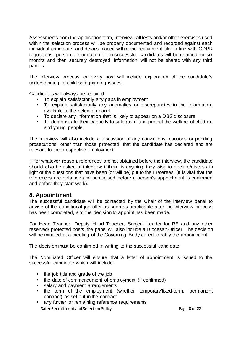Assessments from the application form, interview, all tests and/or other exercises used within the selection process will be properly documented and recorded against each individual candidate, and details placed within the recruitment file. In line with GDPR regulations, personal information for unsuccessful candidates will be retained for six months and then securely destroyed. Information will not be shared with any third parties.

The interview process for every post will include exploration of the candidate's understanding of child safeguarding issues.

Candidates will always be required:

- To explain satisfactorily any gaps in employment
- To explain satisfactorily any anomalies or discrepancies in the information available to the selection panel
- To declare any information that is likely to appear on a DBS disclosure
- To demonstrate their capacity to safeguard and protect the welfare of children and young people

The interview will also include a discussion of any convictions, cautions or pending prosecutions, other than those protected, that the candidate has declared and are relevant to the prospective employment.

If, for whatever reason, references are not obtained before the interview, the candidate should also be asked at interview if there is anything they wish to declare/discuss in light of the questions that have been (or will be) put to their referees. (It is vital that the references are obtained and scrutinised before a person's appointment is confirmed and before they start work).

## **8. Appointment**

The successful candidate will be contacted by the Chair of the interview panel to advise of the conditional job offer as soon as practicable after the interview process has been completed, and the decision to appoint has been made.

For Head Teacher, Deputy Head Teacher, Subject Leader for RE and any other reserved/ protected posts, the panel will also include a Diocesan Officer. The decision will be minuted at a meeting of the Governing Body called to ratify the appointment.

The decision must be confirmed in writing to the successful candidate.

The Nominated Officer will ensure that a letter of appointment is issued to the successful candidate which will include:

- the job title and grade of the job
- the date of commencement of employment (if confirmed)
- salary and payment arrangements
- the term of the employment (whether temporary/fixed-term, permanent contract) as set out in the contract
- Safer Recruitment and Selection Policy Page **8** of **22** • any further or remaining reference requirements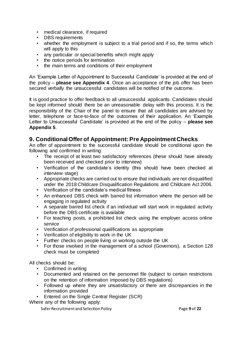- medical clearance, if required
- DBS requirements
- whether the employment is subject to a trial period and if so, the terms which will apply to this
- any particular or special benefits which might apply
- the notice periods for termination
- the main terms and conditions of their employment

An 'Example Letter of Appointment to Successful Candidate' is provided at the end of the policy – **please see Appendix 4**. Once an acceptance of the job offer has been secured verbally the unsuccessful candidates will be notified of the outcome.

It is good practice to offer feedback to all unsuccessful applicants. Candidates should be kept informed should there be an unreasonable delay with this process. It is the responsibility of the Chair of the panel to ensure that all candidates are advised by letter, telephone or face-to-face of the outcomes of their application. An 'Example Letter to Unsuccessful Candidate' is provided at the end of the policy – **please see Appendix 5**.

## **9. Conditional Offer of Appointment: Pre Appointment Checks**

An offer of appointment to the successful candidate should be conditional upon the following and confirmed in writing:

- The receipt of at least two satisfactory references (these should have already been received and checked prior to interview)
- Verification of the candidate's identity (this should have been checked at interview stage)
- Appropriate checks are carried out to ensure that individuals are not disqualified under the 2018 Childcare Disqualification Regulations and Childcare Act 2006.
- Verification of the candidate's medical fitness
- An enhanced DBS check with barred list information where the person will be engaging in regulated activity
- A separate barred list check if an individual will start work in regulated activity before the DBS certificate is available
- For teaching posts, a prohibited list check using the employer access online service
- Verification of professional qualifications as appropriate
- Verification of eligibility to work in the UK
- Further checks on people living or working outside the UK
- For those involved in the management of a school (Governors), a Section 128 check must be completed

All checks should be:

- Confirmed in writing
- Documented and retained on the personnel file (subject to certain restrictions on the retention of information imposed by DBS regulations)
- Followed up where they are unsatisfactory or there are discrepancies in the information provided
- Entered on the Single Central Register (SCR)

Where any of the following apply:

Safer Recruitment and Selection Policy Page **9** of **22**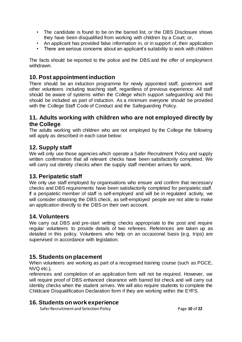- The candidate is found to be on the barred list, or the DBS Disclosure shows they have been disqualified from working with children by a Court; or,
- An applicant has provided false information in, or in support of, their application
- There are serious concerns about an applicant's suitability to work with children

The facts should be reported to the police and the DBS and the offer of employment withdrawn.

## **10. Post appointment induction**

There should be an induction programme for newly appointed staff, governors and other volunteers including teaching staff, regardless of previous experience. All staff should be aware of systems within the College which support safeguarding and this should be included as part of induction. As a minimum everyone should be provided with the College Staff Code of Conduct and the Safeguarding Policy.

## **11. Adults working with children who are not employed directly by the College**

The adults working with children who are not employed by the College the following will apply as described in each case below:

## **12. Supply staff**

We will only use those agencies which operate a Safer Recruitment Policy and supply written confirmation that all relevant checks have been satisfactorily completed. We will carry out identity checks when the supply staff member arrives for work.

## **13. Peripatetic staff**

We only use staff employed by organisations who ensure and confirm that necessary checks and DBS requirements have been satisfactorily completed for peripatetic staff. If a peripatetic member of staff is self-employed and will be in regulated activity, we will consider obtaining the DBS check, as self-employed people are not able to make an application directly to the DBS on their own account.

## **14. Volunteers**

We carry out DBS and pre-start vetting checks appropriate to the post and require regular volunteers to provide details of two referees. References are taken up as detailed in this policy. Volunteers who help on an occasional basis (e.g. trips) are supervised in accordance with legislation.

## **15. Students on placement**

When volunteers are working as part of a recognised training course (such as PGCE, NVQ etc.),

references and completion of an application form will not be required. However, we will require proof of DBS enhanced clearance with barred list check and will carry out identity checks when the student arrives. We will also require students to complete the Childcare Disqualification Declaration form if they are working within the EYFS.

## **16. Students on work experience**

Safer Recruitment and Selection Policy Page **10** of **22**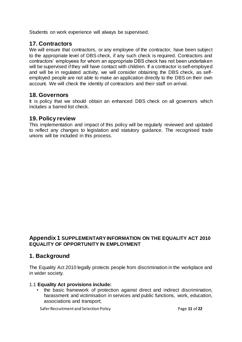Students on work experience will always be supervised.

## **17. Contractors**

We will ensure that contractors, or any employee of the contractor, have been subject to the appropriate level of DBS check, if any such check is required. Contractors and contractors' employees for whom an appropriate DBS check has not been undertaken will be supervised if they will have contact with children. If a contractor is self-employed and will be in regulated activity, we will consider obtaining the DBS check, as selfemployed people are not able to make an application directly to the DBS on their own account. We will check the identity of contractors and their staff on arrival.

## **18. Governors**

It is policy that we should obtain an enhanced DBS check on all governors which includes a barred list check.

## **19. Policy review**

This implementation and impact of this policy will be regularly reviewed and updated to reflect any changes to legislation and statutory guidance. The recognised trade unions will be included in this process.

## **Appendix 1 SUPPLEMENTARY INFORMATION ON THE EQUALITY ACT 2010 EQUALITY OF OPPORTUNITY IN EMPLOYMENT**

## **1. Background**

The Equality Act 2010 legally protects people from discrimination in the workplace and in wider society.

#### 1.1 **Equality Act provisions include:**

• the basic framework of protection against direct and indirect discrimination, harassment and victimisation in services and public functions, work, education, associations and transport;

Safer Recruitment and Selection Policy **Page 11** of 22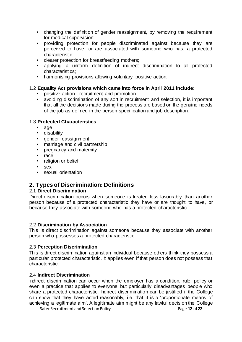- changing the definition of gender reassignment, by removing the requirement for medical supervision;
- providing protection for people discriminated against because they are perceived to have, or are associated with someone who has, a protected characteristic;
- clearer protection for breastfeeding mothers;
- applying a uniform definition of indirect discrimination to all protected characteristics;
- harmonising provisions allowing voluntary positive action.

#### 1.2 **Equality Act provisions which came into force in April 2011 include:**

- positive action recruitment and promotion
- avoiding discrimination of any sort in recruitment and selection, it is important that all the decisions made during the process are based on the genuine needs of the job as defined in the person specification and job description.

#### 1.3 **Protected Characteristics**

- age
- disability
- gender reassignment
- marriage and civil partnership
- pregnancy and maternity
- race
- religion or belief
- sex
- sexual orientation

## **2. Types of Discrimination: Definitions**

#### 2.1 **Direct Discrimination**

Direct discrimination occurs when someone is treated less favourably than another person because of a protected characteristic they have or are thought to have, or because they associate with someone who has a protected characteristic.

#### 2.2 **Discrimination by Association**

This is direct discrimination against someone because they associate with another person who possesses a protected characteristic.

#### 2.3 **Perception Discrimination**

This is direct discrimination against an individual because others think they possess a particular protected characteristic. It applies even if that person does not possess that characteristic.

#### 2.4 **Indirect Discrimination**

Indirect discrimination can occur when the employer has a condition, rule, policy or even a practice that applies to everyone but particularly disadvantages people who share a protected characteristic. Indirect discrimination can be justified if the College can show that they have acted reasonably, i.e. that it is a 'proportionate means of achieving a legitimate aim'. A legitimate aim might be any lawful decision the College

Safer Recruitment and Selection Policy **Page 12** of 22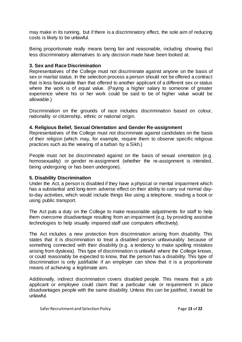may make in its running, but if there is a discriminatory effect, the sole aim of reducing costs is likely to be unlawful.

Being proportionate really means being fair and reasonable, including showing tha t less discriminatory alternatives to any decision made have been looked at.

#### **3. Sex and Race Discrimination**

Representatives of the College must not discriminate against anyone on the basis of sex or marital status. In the selection process a person should not be offered a contract that is less favourable than that offered to another applicant of a different sex or status where the work is of equal value. (Paying a higher salary to someone of greater experience where his or her work could be said to be of higher value would be allowable.)

Discrimination on the grounds of race includes discrimination based on colour, nationality or citizenship, ethnic or national origin.

#### **4. Religious Belief, Sexual Orientation and Gender Re-assignment**

Representatives of the College must not discriminate against candidates on the basis of their religion (which may, for example, require them to observe specific religious practices such as the wearing of a turban by a Sikh.)

People must not be discriminated against on the basis of sexual orientation (e.g. homosexuality) or gender re-assignment (whether the re-assignment is intended, being undergoing or has been undergone).

#### **5. Disability Discrimination**

Under the Act, a person is disabled if they have a physical or mental impairment which has a substantial and long-term adverse effect on their ability to carry out normal dayto-day activities, which would include things like using a telephone, reading a book or using public transport.

The Act puts a duty on the College to make reasonable adjustments for staff to help them overcome disadvantage resulting from an impairment (e.g. by providing assistive technologies to help visually impaired staff use computers effectively).

The Act includes a new protection from discrimination arising from disability. This states that it is discrimination to treat a disabled person unfavourably because of something connected with their disability (e.g. a tendency to make spelling mistakes arising from dyslexia). This type of discrimination is unlawful where the College knows, or could reasonably be expected to know, that the person has a disability. This type of discrimination is only justifiable if an employer can show that it is a proportionate means of achieving a legitimate aim.

Additionally, indirect discrimination covers disabled people. This means that a job applicant or employee could claim that a particular rule or requirement in place disadvantages people with the same disability. Unless this can be justified, it would be unlawful.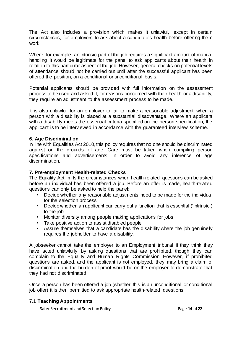The Act also includes a provision which makes it unlawful, except in certain circumstances, for employers to ask about a candidate's health before offering them work.

Where, for example, an intrinsic part of the job requires a significant amount of manual handling it would be legitimate for the panel to ask applicants about their health in relation to this particular aspect of the job. However, general checks on potential levels of attendance should not be carried out until after the successful applicant has been offered the position, on a conditional or unconditional basis.

Potential applicants should be provided with full information on the assessment process to be used and asked if, for reasons concerned with their health or a disability, they require an adjustment to the assessment process to be made.

It is also unlawful for an employer to fail to make a reasonable adjustment when a person with a disability is placed at a substantial disadvantage. Where an applicant with a disability meets the essential criteria specified on the person specification, the applicant is to be interviewed in accordance with the guaranteed interview scheme.

#### **6. Age Discrimination**

In line with Equalities Act 2010, this policy requires that no one should be discriminated against on the grounds of age. Care must be taken when compiling person specifications and advertisements in order to avoid any inference of age discrimination.

#### **7. Pre-employment Health-related Checks**

The Equality Act limits the circumstances when health-related questions can be asked before an individual has been offered a job. Before an offer is made, health-related questions can only be asked to help the panel:

- Decide whether any reasonable adjustments need to be made for the individual for the selection process
- Decide whether an applicant can carry out a function that is essential ('intrinsic') to the job
- Monitor diversity among people making applications for jobs
- Take positive action to assist disabled people
- Assure themselves that a candidate has the disability where the job genuinely requires the jobholder to have a disability.

A jobseeker cannot take the employer to an Employment tribunal if they think they have acted unlawfully by asking questions that are prohibited, though they can complain to the Equality and Human Rights Commission. However, if prohibited questions are asked, and the applicant is not employed, they may bring a claim of discrimination and the burden of proof would be on the employer to demonstrate that they had not discriminated.

Once a person has been offered a job (whether this is an unconditional or conditional job offer) it is then permitted to ask appropriate health-related questions.

#### 7.1 **Teaching Appointments**

Safer Recruitment and Selection Policy **Page 14** of 22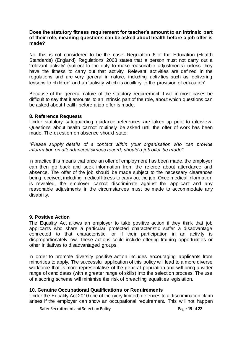#### **Does the statutory fitness requirement for teacher's amount to an intrinsic part of their role, meaning questions can be asked about health before a job offer is made?**

No, this is not considered to be the case. Regulation 6 of the Education (Health Standards) (England) Regulations 2003 states that a person must not carry out a 'relevant activity' (subject to the duty to make reasonable adjustments) unless they have the fitness to carry out that activity. Relevant activities are defined in the regulations and are very general in nature, including activities such as 'delivering lessons to children' and an 'activity which is ancillary to the provision of education'.

Because of the general nature of the statutory requirement it will in most cases be difficult to say that it amounts to an intrinsic part of the role, about which questions can be asked about health before a job offer is made.

#### **8. Reference Requests**

Under statutory safeguarding guidance references are taken up prior to interview. Questions about health cannot routinely be asked until the offer of work has been made. The question on absence should state:

*"Please supply details of a contact within your organisation who can provide information on attendance/sickness record, should a job offer be made"*.

In practice this means that once an offer of employment has been made, the employer can then go back and seek information from the referee about attendance and absence. The offer of the job should be made subject to the necessary clearances being received, including medical fitness to carry out the job. Once medical information is revealed, the employer cannot discriminate against the applicant and any reasonable adjustments in the circumstances must be made to accommodate any disability.

#### **9. Positive Action**

The Equality Act allows an employer to take positive action if they think that job applicants who share a particular protected characteristic suffer a disadvantage connected to that characteristic, or if their participation in an activity is disproportionately low. These actions could include offering training opportunities or other initiatives to disadvantaged groups.

In order to promote diversity positive action includes encouraging applicants from minorities to apply. The successful application of this policy will lead to a more diverse workforce that is more representative of the general population and will bring a wider range of candidates (with a greater range of skills) into the selection process. The use of a scoring scheme will minimise the risk of breaching equalities legislation.

#### **10. Genuine Occupational Qualifications or Requirements**

Under the Equality Act 2010 one of the (very limited) defences to a discrimination claim arises if the employer can show an occupational requirement. This will not happen

Safer Recruitment and Selection Policy Page **15** of **22**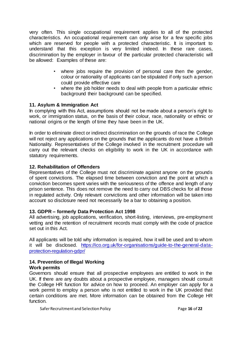very often. This single occupational requirement applies to all of the protected characteristics. An occupational requirement can only arise for a few specific jobs which are reserved for people with a protected characteristic. It is important to understand that this exception is very limited indeed. In these rare cases, discrimination by the employer in favour of the particular protected characteristic will be allowed: Examples of these are:

- where jobs require the provision of personal care then the gender, colour or nationality of applicants can be stipulated if only such a person could provide effective care
- where the job holder needs to deal with people from a particular ethnic background their background can be specified.

#### **11. Asylum & Immigration Act**

In complying with this Act, assumptions should not be made about a person's right to work, or immigration status, on the basis of their colour, race, nationality or ethnic or national origins or the length of time they have been in the UK.

In order to eliminate direct or indirect discrimination on the grounds of race the College will not reject any applications on the grounds that the applicants do not have a British Nationality. Representatives of the College involved in the recruitment procedure will carry out the relevant checks on eligibility to work in the UK in accordance with statutory requirements.

#### **12. Rehabilitation of Offenders**

Representatives of the College must not discriminate against anyone on the grounds of spent convictions. The elapsed time between conviction and the point at which a conviction becomes spent varies with the seriousness of the offence and length of any prison sentence. This does not remove the need to carry out DBS checks for all those in regulated activity. Only relevant convictions and other information will be taken into account so disclosure need not necessarily be a bar to obtaining a position.

#### **13. GDPR – formerly Data Protection Act 1998**

All advertising, job applications, verification, short-listing, interviews, pre-employment vetting and the retention of recruitment records must comply with the code of practice set out in this Act.

All applicants will be told why information is required, how it will be used and to whom it will be disclosed. [https://ico.org.uk/for-organisations/guide-to-the-general-data](https://ico.org.uk/for-organisations/guide-to-the-general-data-protection-regulation-gdpr/)[protection-regulation-gdpr/](https://ico.org.uk/for-organisations/guide-to-the-general-data-protection-regulation-gdpr/)

#### **14. Prevention of Illegal Working Work permits**

Governors should ensure that all prospective employees are entitled to work in the UK. If there are any doubts about a prospective employee, managers should consult the College HR function for advice on how to proceed. An employer can apply for a work permit to employ a person who is not entitled to work in the UK provided that certain conditions are met. More information can be obtained from the College HR function.

Safer Recruitment and Selection Policy Page **16** of **22**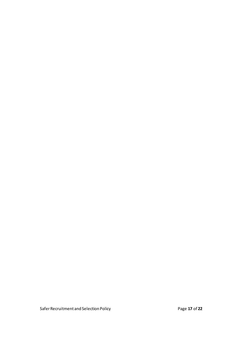Safer Recruitment and Selection Policy **Page 17** of 22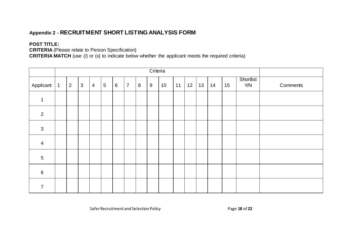## **Appendix 2 - RECRUITMENT SHORT LISTING ANALYSIS FORM**

### **POST TITLE:**

**CRITERIA** (Please relate to Person Specification)

**CRITERIA MATCH** (use (/) or (x) to indicate below whether the applicant meets the required criteria)

|                 | Criteria     |   |   |                |                 |         |                |   |   |                 |    |    |    |    |    |                  |          |
|-----------------|--------------|---|---|----------------|-----------------|---------|----------------|---|---|-----------------|----|----|----|----|----|------------------|----------|
| Applicant       | $\mathbf{1}$ | 2 | 3 | $\overline{4}$ | $5\phantom{.0}$ | $\,6\,$ | $\overline{7}$ | 8 | 9 | 10 <sup>°</sup> | 11 | 12 | 13 | 14 | 15 | Shortlist<br>Y/N | Comments |
| 1               |              |   |   |                |                 |         |                |   |   |                 |    |    |    |    |    |                  |          |
| 2               |              |   |   |                |                 |         |                |   |   |                 |    |    |    |    |    |                  |          |
| $\mathbf{3}$    |              |   |   |                |                 |         |                |   |   |                 |    |    |    |    |    |                  |          |
| $\overline{4}$  |              |   |   |                |                 |         |                |   |   |                 |    |    |    |    |    |                  |          |
| $\overline{5}$  |              |   |   |                |                 |         |                |   |   |                 |    |    |    |    |    |                  |          |
| $6\phantom{1}6$ |              |   |   |                |                 |         |                |   |   |                 |    |    |    |    |    |                  |          |
| $\overline{7}$  |              |   |   |                |                 |         |                |   |   |                 |    |    |    |    |    |                  |          |

Safer Recruitment and Selection Policy **Page 18** of 22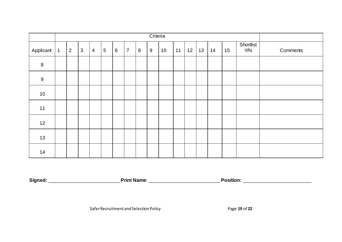|           | Criteria     |   |   |                |                |         |                |   |   |    |    |    |    |    |    |                  |          |
|-----------|--------------|---|---|----------------|----------------|---------|----------------|---|---|----|----|----|----|----|----|------------------|----------|
| Applicant | $\mathbf{1}$ | 2 | 3 | $\overline{4}$ | $5\phantom{1}$ | $\,6\,$ | $\overline{7}$ | 8 | 9 | 10 | 11 | 12 | 13 | 14 | 15 | Shortlist<br>Y/N | Comments |
| 8         |              |   |   |                |                |         |                |   |   |    |    |    |    |    |    |                  |          |
| 9         |              |   |   |                |                |         |                |   |   |    |    |    |    |    |    |                  |          |
| 10        |              |   |   |                |                |         |                |   |   |    |    |    |    |    |    |                  |          |
| 11        |              |   |   |                |                |         |                |   |   |    |    |    |    |    |    |                  |          |
| 12        |              |   |   |                |                |         |                |   |   |    |    |    |    |    |    |                  |          |
| 13        |              |   |   |                |                |         |                |   |   |    |    |    |    |    |    |                  |          |
| 14        |              |   |   |                |                |         |                |   |   |    |    |    |    |    |    |                  |          |

**Signed:** \_\_\_\_\_\_\_\_\_\_\_\_\_\_\_\_\_\_\_\_\_\_\_\_\_\_ **Print Name**: \_\_\_\_\_\_\_\_\_\_\_\_\_\_\_\_\_\_\_\_\_\_\_\_\_\_ **Position:** \_\_\_\_\_\_\_\_\_\_\_\_\_\_\_\_\_\_\_\_\_\_\_\_\_

Safer Recruitment and Selection Policy **Page 19 of 22** Page 19 of 22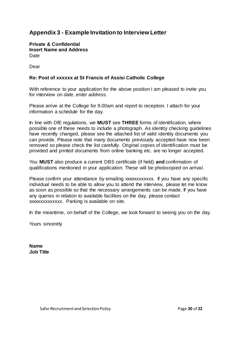## **Appendix 3 - Example Invitation to Interview Letter**

**Private & Confidential Insert Name and Address**  Date

Dear

#### **Re: Post of xxxxxx at St Francis of Assisi Catholic College**

With reference to your application for the above position I am pleased to invite you for interview on *date, enter address.* 

Please arrive at the College for 9.00am and report to reception. I attach for your information a schedule for the day.

In line with DfE regulations, we **MUST** see **THREE** forms of identification, where possible one of these needs to include a photograph. As identity checking guidelines have recently changed, please see the attached list of valid identity documents you can provide. Please note that many documents previously accepted have now been removed so please check the list carefully. Original copies of identification must be provided and printed documents from online banking etc. are no longer accepted.

You **MUST** also produce a current DBS certificate (if held) **and** confirmation of qualifications mentioned in your application. These will be photocopied on arrival.

Please confirm your attendance by emailing xxxxxxxxxxxx. If you have any specific individual needs to be able to allow you to attend the interview, please let me know as soon as possible so that the necessary arrangements can be made. If you have any queries in relation to available facilities on the day, please contact xxxxxxxxxxxxxx. Parking is available on site.

In the meantime, on behalf of the College, we look forward to seeing you on the day.

Yours sincerely

**Name Job Title**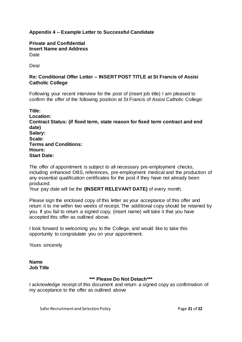#### **Appendix 4 – Example Letter to Successful Candidate**

**Private and Confidential Insert Name and Address**  Date

Dear

#### **Re: Conditional Offer Letter – INSERT POST TITLE at St Francis of Assisi Catholic College**

Following your recent interview for the post of (insert job title) I am pleased to confirm the offer of the following position at St Francis of Assisi Catholic College:

**Title: Location: Contract Status: (if fixed term, state reason for fixed term contract and end date) Salary: Scale: Terms and Conditions: Hours: Start Date:** 

The offer of appointment is subject to all necessary pre-employment checks, including enhanced DBS, references, pre-employment medical and the production of any essential qualification certificates for the post if they have not already been produced.

Your pay date will be the **(INSERT RELEVANT DATE)** of every month.

Please sign the enclosed copy of this letter as your acceptance of this offer and return it to me within two weeks of receipt. The additional copy should be retained by you. If you fail to return a signed copy, (insert name) will take it that you have accepted this offer as outlined above.

I look forward to welcoming you to the College, and would like to take this opportunity to congratulate you on your appointment.

Yours sincerely

**Name Job Title** 

#### **\*\*\* Please Do Not Detach\*\*\***

I acknowledge receipt of this document and return a signed copy as confirmation of my acceptance to the offer as outlined above

Safer Recruitment and Selection Policy Page **21** of **22**